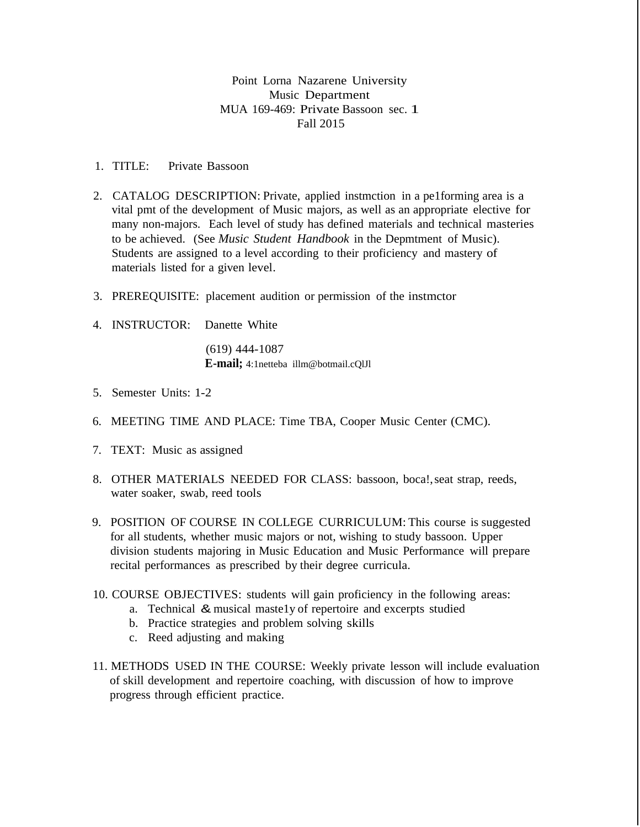## Point Lorna Nazarene University Music Department MUA 169-469: Private Bassoon sec. 1 Fall 2015

- 1. TITLE: Private Bassoon
- 2. CATALOG DESCRIPTION: Private, applied instmction in a pe1forming area is a vital pmt of the development of Music majors, as well as an appropriate elective for many non-majors. Each level of study has defined materials and technical masteries to be achieved. (See *Music Student Handbook* in the Depmtment of Music). Students are assigned to a level according to their proficiency and mastery of materials listed for a given level.
- 3. PREREQUISITE: placement audition or permission of the instmctor
- 4. INSTRUCTOR: Danette White

(619) 444-1087 **E-mail;** [4:1netteba illm@botmail.cQlJl](mailto:illm@botmail.cQlJl)

- 5. Semester Units: 1-2
- 6. MEETING TIME AND PLACE: Time TBA, Cooper Music Center (CMC).
- 7. TEXT: Music as assigned
- 8. OTHER MATERIALS NEEDED FOR CLASS: bassoon, boca!,seat strap, reeds, water soaker, swab, reed tools
- 9. POSITION OF COURSE IN COLLEGE CURRICULUM: This course is suggested for all students, whether music majors or not, wishing to study bassoon. Upper division students majoring in Music Education and Music Performance will prepare recital performances as prescribed by their degree curricula.
- 10. COURSE OBJECTIVES: students will gain proficiency in the following areas:
	- a. Technical & musical maste1y of repertoire and excerpts studied
	- b. Practice strategies and problem solving skills
	- c. Reed adjusting and making
- 11. METHODS USED IN THE COURSE: Weekly private lesson will include evaluation of skill development and repertoire coaching, with discussion of how to improve progress through efficient practice.